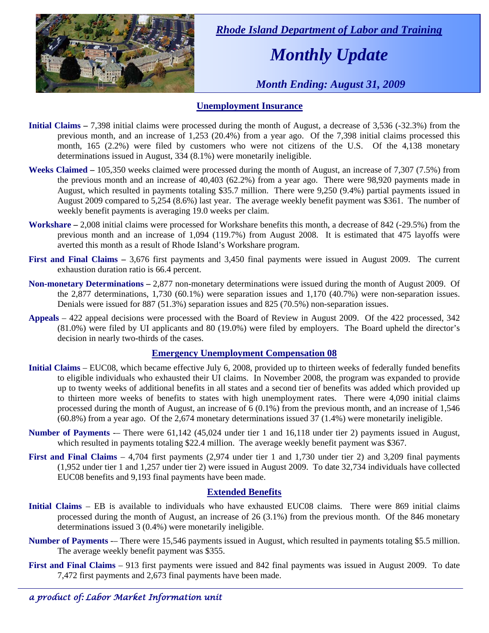

 *Rhode Island Department of Labor and Training* 

## *Monthly Update*

 *Month Ending: August 31, 2009* 

#### **Unemployment Insurance**

- **Initial Claims** 7,398 initial claims were processed during the month of August, a decrease of 3,536 (-32.3%) from the previous month, and an increase of 1,253 (20.4%) from a year ago. Of the 7,398 initial claims processed this month, 165 (2.2%) were filed by customers who were not citizens of the U.S. Of the 4,138 monetary determinations issued in August, 334 (8.1%) were monetarily ineligible.
- **Weeks Claimed** 105,350 weeks claimed were processed during the month of August, an increase of 7,307 (7.5%) from the previous month and an increase of 40,403 (62.2%) from a year ago. There were 98,920 payments made in August, which resulted in payments totaling \$35.7 million. There were 9,250 (9.4%) partial payments issued in August 2009 compared to 5,254 (8.6%) last year. The average weekly benefit payment was \$361. The number of weekly benefit payments is averaging 19.0 weeks per claim.
- **Workshare –** 2,008 initial claims were processed for Workshare benefits this month, a decrease of 842 (-29.5%) from the previous month and an increase of 1,094 (119.7%) from August 2008. It is estimated that 475 layoffs were averted this month as a result of Rhode Island's Workshare program.
- **First and Final Claims –** 3,676 first payments and 3,450 final payments were issued in August 2009. The current exhaustion duration ratio is 66.4 percent.
- **Non-monetary Determinations –** 2,877 non-monetary determinations were issued during the month of August 2009. Of the 2,877 determinations, 1,730 (60.1%) were separation issues and 1,170 (40.7%) were non-separation issues. Denials were issued for 887 (51.3%) separation issues and 825 (70.5%) non-separation issues.
- **Appeals** 422 appeal decisions were processed with the Board of Review in August 2009. Of the 422 processed, 342 (81.0%) were filed by UI applicants and 80 (19.0%) were filed by employers. The Board upheld the director's decision in nearly two-thirds of the cases.

### **Emergency Unemployment Compensation 08**

- **Initial Claims**  EUC08, which became effective July 6, 2008, provided up to thirteen weeks of federally funded benefits to eligible individuals who exhausted their UI claims. In November 2008, the program was expanded to provide up to twenty weeks of additional benefits in all states and a second tier of benefits was added which provided up to thirteen more weeks of benefits to states with high unemployment rates. There were 4,090 initial claims processed during the month of August, an increase of 6 (0.1%) from the previous month, and an increase of 1,546 (60.8%) from a year ago. Of the 2,674 monetary determinations issued 37 (1.4%) were monetarily ineligible.
- **Number of Payments** -– There were 61,142 (45,024 under tier 1 and 16,118 under tier 2) payments issued in August, which resulted in payments totaling \$22.4 million. The average weekly benefit payment was \$367.
- **First and Final Claims**  4,704 first payments (2,974 under tier 1 and 1,730 under tier 2) and 3,209 final payments (1,952 under tier 1 and 1,257 under tier 2) were issued in August 2009. To date 32,734 individuals have collected EUC08 benefits and 9,193 final payments have been made.

### **Extended Benefits**

- **Initial Claims**  EB is available to individuals who have exhausted EUC08 claims. There were 869 initial claims processed during the month of August, an increase of 26 (3.1%) from the previous month. Of the 846 monetary determinations issued 3 (0.4%) were monetarily ineligible.
- **Number of Payments** -– There were 15,546 payments issued in August, which resulted in payments totaling \$5.5 million. The average weekly benefit payment was \$355.
- **First and Final Claims**  913 first payments were issued and 842 final payments was issued in August 2009. To date 7,472 first payments and 2,673 final payments have been made.